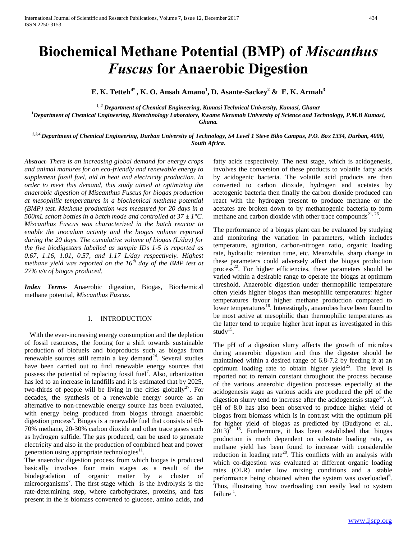# **Biochemical Methane Potential (BMP) of** *Miscanthus Fuscus* **for Anaerobic Digestion**

**E. K. Tetteh4\* , K. O. Ansah Amano<sup>1</sup> , D. Asante-Sackey<sup>2</sup> & E. K. Armah<sup>3</sup>**

<sup>1, 2</sup> Department of Chemical Engineering, Kumasi Technical University, Kumasi, Ghana<sup>,</sup>

*<sup>1</sup>Department of Chemical Engineering, Biotechnology Laboratory, Kwame Nkrumah University of Science and Technology, P.M.B Kumasi, Ghana.*

*2,3,4 Department of Chemical Engineering, Durban University of Technology, S4 Level 1 Steve Biko Campus, P.O. Box 1334, Durban, 4000, South Africa.*

*Abstract- There is an increasing global demand for energy crops and animal manures for an eco-friendly and renewable energy to supplement fossil fuel, aid in heat and electricity production. In order to meet this demand, this study aimed at optimizing the anaerobic digestion of Miscanthus Fuscus for biogas production at mesophilic temperatures in a biochemical methane potential (BMP) test. Methane production was measured for 20 days in a 500mL schott bottles in a batch mode and controlled at 37 ± 1°C. Miscanthus Fuscus was characterized in the batch reactor to enable the inoculum activity and the biogas volume reported during the 20 days. The cumulative volume of biogas (L/day) for the five biodigesters labelled as sample IDs 1-5 is reported as 0.67, 1.16, 1.01, 0.57, and 1.17 L/day respectively. Highest methane yield was reported on the 16th day of the BMP test at 27% v/v of biogas produced.*

*Index Terms-* Anaerobic digestion, Biogas, Biochemical methane potential, *Miscanthus Fuscus.*

## I. INTRODUCTION

 With the ever-increasing energy consumption and the depletion of fossil resources, the footing for a shift towards sustainable production of biofuels and bioproducts such as biogas from renewable sources still remain a key demand $^{24}$ . Several studies have been carried out to find renewable energy sources that possess the potential of replacing fossil fuel<sup>7</sup>. Also, urbanization has led to an increase in landfills and it is estimated that by 2025, two-thirds of people will be living in the cities globally<sup>27</sup>. For decades, the synthesis of a renewable energy source as an alternative to non-renewable energy source has been evaluated, with energy being produced from biogas through anaerobic digestion process<sup>4</sup>. Biogas is a renewable fuel that consists of 60-70% methane, 20-30% carbon dioxide and other trace gases such as hydrogen sulfide. The gas produced, can be used to generate electricity and also in the production of combined heat and power generation using appropriate technologies $^{11}$ .

The anaerobic digestion process from which biogas is produced basically involves four main stages as a result of the biodegradation of organic matter by a cluster of microorganisms<sup>7</sup>. The first stage which is the hydrolysis is the rate-determining step, where carbohydrates, proteins, and fats present in the is biomass converted to glucose, amino acids, and

fatty acids respectively. The next stage, which is acidogenesis, involves the conversion of these products to volatile fatty acids by acidogenic bacteria. The volatile acid products are then converted to carbon dioxide, hydrogen and acetates by acetogenic bacteria then finally the carbon dioxide produced can react with the hydrogen present to produce methane or the acetates are broken down to by methanogenic bacteria to form methane and carbon dioxide with other trace compounds<sup>21, 26</sup>.

The performance of a biogas plant can be evaluated by studying and monitoring the variation in parameters, which includes temperature, agitation, carbon-nitrogen ratio, organic loading rate, hydraulic retention time, etc. Meanwhile, sharp change in these parameters could adversely affect the biogas production process<sup>22</sup>. For higher efficiencies, these parameters should be varied within a desirable range to operate the biogas at optimum threshold. Anaerobic digestion under thermophilic temperature often yields higher biogas than mesophilic temperatures: higher temperatures favour higher methane production compared to lower temperatures<sup>16</sup>. Interestingly, anaerobes have been found to be most active at mesophilic than thermophilic temperatures as the latter tend to require higher heat input as investigated in this study $^{15}$ .

The pH of a digestion slurry affects the growth of microbes during anaerobic digestion and thus the digester should be maintained within a desired range of 6.8-7.2 by feeding it at an optimum loading rate to obtain higher yield<sup>25</sup>. The level is reported not to remain constant throughout the process because of the various anaerobic digestion processes especially at the acidogenesis stage as various acids are produced the pH of the digestion slurry tend to increase after the acidogenesis stage<sup>30</sup>. A pH of 8.0 has also been observed to produce higher yield of biogas from biomass which is in contrast with the optimum pH for higher yield of biogas as predicted by (Budiyono et al.,  $2013$ <sup>3, 18</sup>. Furthermore, it has been established that biogas production is much dependent on substrate loading rate, as methane yield has been found to increase with considerable reduction in loading rate<sup>28</sup>. This conflicts with an analysis with which co-digestion was evaluated at different organic loading rates (OLR) under low mixing conditions and a stable performance being obtained when the system was overloaded<sup>6</sup>. Thus, illustrating how overloading can easily lead to system failure<sup>1</sup>.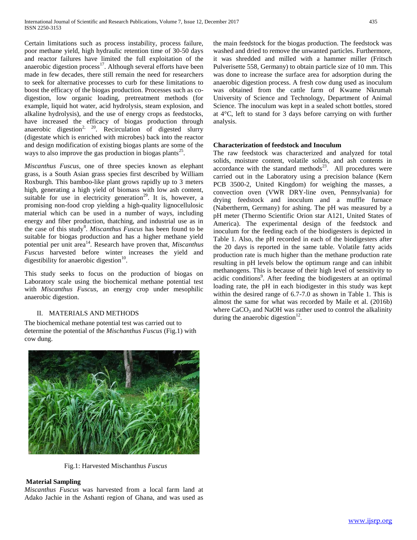Certain limitations such as process instability, process failure, poor methane yield, high hydraulic retention time of 30-50 days and reactor failures have limited the full exploitation of the anaerobic digestion process<sup>17</sup>. Although several efforts have been made in few decades, there still remain the need for researchers to seek for alternative processes to curb for these limitations to boost the efficacy of the biogas production. Processes such as codigestion, low organic loading, pretreatment methods (for example, liquid hot water, acid hydrolysis, steam explosion, and alkaline hydrolysis), and the use of energy crops as feedstocks, have increased the efficacy of biogas production through anaerobic digestion<sup>2, 20</sup>. Recirculation of digested slurry (digestate which is enriched with microbes) back into the reactor and design modification of existing biogas plants are some of the ways to also improve the gas production in biogas plants<sup>25</sup>.

*Miscanthus Fuscus*, one of three species known as [elephant](https://en.wikipedia.org/wiki/Elephant_grass_%28disambiguation%29)  [grass,](https://en.wikipedia.org/wiki/Elephant_grass_%28disambiguation%29) is a South Asian [grass](https://en.wikipedia.org/wiki/Grass) species first described by [William](https://en.wikipedia.org/wiki/William_Roxburgh)  [Roxburgh.](https://en.wikipedia.org/wiki/William_Roxburgh) This bamboo-like plant grows rapidly up to 3 meters high, generating a high yield of [biomass](https://en.wikipedia.org/wiki/Biomass) with low ash content, suitable for use in [electricity generation](https://en.wikipedia.org/wiki/Electricity_generation)<sup>29</sup>. It is, however, a promising non-food crop yielding a high-quality lignocellulosic material which can be used in a number of ways, including energy and fiber production, thatching, and industrial use as in the case of this study<sup>8</sup>. *Miscanthus Fuscus* has been found to be suitable for biogas production and has a higher methane yield potential per unit area<sup>14</sup>. Research have proven that, *Miscanthus Fuscus* harvested before winter increases the yield and digestibility for anaerobic digestion $10$ .

This study seeks to focus on the production of biogas on Laboratory scale using the biochemical methane potential test with *Miscanthus Fuscus*, an energy crop under mesophilic anaerobic digestion.

# II. MATERIALS AND METHODS

The biochemical methane potential test was carried out to determine the potential of the *Mischanthus Fuscus* (Fig.1) with cow dung.

the main feedstock for the biogas production. The feedstock was washed and dried to remove the unwanted particles. Furthermore, it was shredded and milled with a hammer miller (Fritsch Pulverisette 558, Germany) to obtain particle size of 10 mm. This was done to increase the surface area for adsorption during the anaerobic digestion process. A fresh cow dung used as inoculum was obtained from the cattle farm of Kwame Nkrumah University of Science and Technology, Department of Animal Science. The inoculum was kept in a sealed schott bottles, stored at 4°C, left to stand for 3 days before carrying on with further analysis.

## **Characterization of feedstock and Inoculum**

The raw feedstock was characterized and analyzed for total solids, moisture content, volatile solids, and ash contents in accordance with the standard methods $23$ . All procedures were carried out in the Laboratory using a precision balance (Kern PCB 3500-2, United Kingdom) for weighing the masses, a convection oven (VWR DRY-line oven, Pennsylvania) for drying feedstock and inoculum and a muffle furnace (Nabertherm, Germany) for ashing. The pH was measured by a pH meter (Thermo Scientific Orion star A121, United States of America). The experimental design of the feedstock and inoculum for the feeding each of the biodigesters is depicted in Table 1. Also, the pH recorded in each of the biodigesters after the 20 days is reported in the same table. Volatile fatty acids production rate is much higher than the methane production rate resulting in pH levels below the optimum range and can inhibit methanogens. This is because of their high level of sensitivity to acidic conditions<sup>9</sup>. After feeding the biodigesters at an optimal loading rate, the pH in each biodigester in this study was kept within the desired range of 6.7-7.0 as shown in Table 1. This is almost the same for what was recorded by Maile et al. (2016b) where  $CaCO<sub>3</sub>$  and NaOH was rather used to control the alkalinity during the anaerobic digestion $^{12}$ .



Fig.1: Harvested Mischanthus *Fuscus*

# **Material Sampling**

*Miscanthus Fuscus* was harvested from a local farm land at Adako Jachie in the Ashanti region of Ghana, and was used as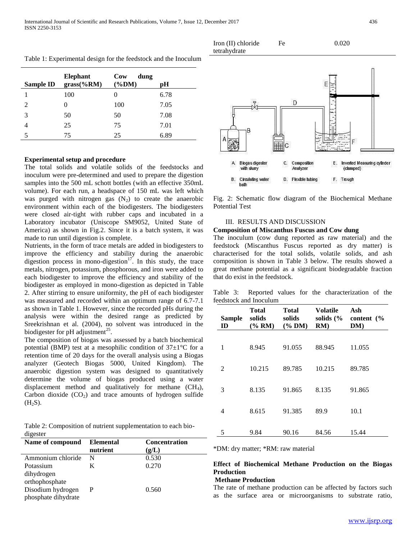| Sample ID                   | <b>Elephant</b><br>$grass$ (% $RM$ ) | Cow<br>dung<br>$(\%DM)$ | рH   |
|-----------------------------|--------------------------------------|-------------------------|------|
|                             | 100                                  |                         | 6.78 |
| $\mathcal{D}_{\mathcal{L}}$ | 0                                    | 100                     | 7.05 |
| 3                           | 50                                   | 50                      | 7.08 |
|                             | 25                                   | 75                      | 7.01 |
| 5                           | 75                                   | 25                      | 6.89 |

Table 1: Experimental design for the feedstock and the Inoculum

## **Experimental setup and procedure**

The total solids and volatile solids of the feedstocks and inoculum were pre-determined and used to prepare the digestion samples into the 500 mL schott bottles (with an effective 350mL volume). For each run, a headspace of 150 mL was left which was purged with nitrogen gas  $(N_2)$  to create the anaerobic environment within each of the biodigesters. The biodigesters were closed air-tight with rubber caps and incubated in a Laboratory incubator (Uniscope SM9052, United State of America) as shown in Fig.2. Since it is a batch system, it was made to run until digestion is complete.

Nutrients, in the form of trace metals are added in biodigesters to improve the efficiency and stability during the anaerobic digestion process in mono-digestion $17$ . In this study, the trace metals, nitrogen, potassium, phosphorous, and iron were added to each biodigester to improve the efficiency and stability of the biodigester as employed in mono-digestion as depicted in Table 2. After stirring to ensure uniformity, the pH of each biodigester was measured and recorded within an optimum range of 6.7-7.1 as shown in Table 1. However, since the recorded pHs during the analysis were within the desired range as predicted by Sreekrishnan et al. (2004), no solvent was introduced in the biodigester for pH adjustment<sup>25</sup>.

The composition of biogas was assessed by a batch biochemical potential (BMP) test at a mesophilic condition of  $37\pm1\,^{\circ}\text{C}$  for a retention time of 20 days for the overall analysis using a Biogas analyzer (Geotech Biogas 5000, United Kingdom). The anaerobic digestion system was designed to quantitatively determine the volume of biogas produced using a water displacement method and qualitatively for methane  $(CH<sub>4</sub>)$ , Carbon dioxide  $(CO_2)$  and trace amounts of hydrogen sulfide  $(H<sub>2</sub>S).$ 

Table 2: Composition of nutrient supplementation to each biodigester

| Name of compound    | <b>Elemental</b><br>nutrient | Concentration<br>(g/L) |
|---------------------|------------------------------|------------------------|
| Ammonium chloride   | N                            | 0.530                  |
| Potassium           | K                            | 0.270                  |
| dihydrogen          |                              |                        |
| orthophosphate      |                              |                        |
| Disodium hydrogen   | P                            | 0.560                  |
| phosphate dihydrate |                              |                        |



Fe 0.020

Fig. 2: Schematic flow diagram of the Biochemical Methane Potential Test

## III. RESULTS AND DISCUSSION

Iron (II) chloride

## **Composition of Miscanthus Fuscus and Cow dung**

The inoculum (cow dung reported as raw material) and the feedstock (Miscanthus Fuscus reported as dry matter) is characterised for the total solids, volatile solids, and ash composition is shown in Table 3 below. The results showed a great methane potential as a significant biodegradable fraction that do exist in the feedstock.

Table 3: Reported values for the characterization of the feedstock and Inoculum

| <b>Sample</b><br>ID | Total<br>solids<br>$(\%$ RM) | Total<br>solids<br>$(\%$ DM) | <b>Volatile</b><br>solids $\frac{6}{6}$<br>RM) | Ash<br>content $\frac{6}{6}$<br>DM) |
|---------------------|------------------------------|------------------------------|------------------------------------------------|-------------------------------------|
| 1                   | 8.945                        | 91.055                       | 88.945                                         | 11.055                              |
| 2                   | 10.215                       | 89.785                       | 10.215                                         | 89.785                              |
| 3                   | 8.135                        | 91.865                       | 8.135                                          | 91.865                              |
| 4                   | 8.615                        | 91.385                       | 89.9                                           | 10.1                                |
| 5                   | 9.84                         | 90.16                        | 84.56                                          | 15.44                               |

\*DM: dry matter; \*RM: raw material

# **Effect of Biochemical Methane Production on the Biogas Production**

## **Methane Production**

The rate of methane production can be affected by factors such as the surface area or microorganisms to substrate ratio,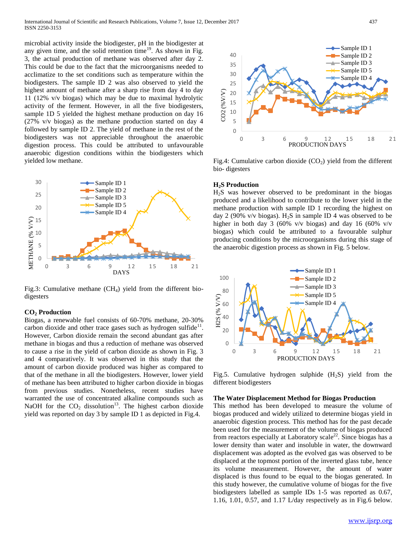microbial activity inside the biodigester, pH in the biodigester at any given time, and the solid retention time<sup>19</sup>. As shown in Fig. 3, the actual production of methane was observed after day 2. This could be due to the fact that the microorganisms needed to acclimatize to the set conditions such as temperature within the biodigesters. The sample ID 2 was also observed to yield the highest amount of methane after a sharp rise from day 4 to day 11 (12% v/v biogas) which may be due to maximal hydrolytic activity of the ferment. However, in all the five biodigesters, sample 1D 5 yielded the highest methane production on day 16 (27% v/v biogas) as the methane production started on day 4 followed by sample ID 2. The yield of methane in the rest of the biodigesters was not appreciable throughout the anaerobic digestion process. This could be attributed to unfavourable anaerobic digestion conditions within the biodigesters which yielded low methane.



Fig.3: Cumulative methane  $(CH<sub>4</sub>)$  yield from the different biodigesters

#### **CO<sup>2</sup> Production**

Biogas, a renewable fuel consists of 60-70% methane, 20-30% carbon dioxide and other trace gases such as hydrogen sulfide $11$ . However, Carbon dioxide remain the second abundant gas after methane in biogas and thus a reduction of methane was observed to cause a rise in the yield of carbon dioxide as shown in Fig. 3 and 4 comparatively. It was observed in this study that the amount of carbon dioxide produced was higher as compared to that of the methane in all the biodigesters. However, lower yield of methane has been attributed to higher carbon dioxide in biogas from previous studies. Nonetheless, recent studies have warranted the use of concentrated alkaline compounds such as NaOH for the  $CO<sub>2</sub>$  dissolution<sup>13</sup>. The highest carbon dioxide yield was reported on day 3 by sample ID 1 as depicted in Fig.4.



Fig.4: Cumulative carbon dioxide  $(CO<sub>2</sub>)$  yield from the different bio- digesters

#### **H2S Production**

H2S was however observed to be predominant in the biogas produced and a likelihood to contribute to the lower yield in the methane production with sample ID 1 recording the highest on day 2 (90% v/v biogas).  $H_2S$  in sample ID 4 was observed to be higher in both day 3 (60% v/v biogas) and day 16 (60% v/v biogas) which could be attributed to a favourable sulphur producing conditions by the microorganisms during this stage of the anaerobic digestion process as shown in Fig. 5 below.



Fig.5. Cumulative hydrogen sulphide  $(H_2S)$  yield from the different biodigesters

## **The Water Displacement Method for Biogas Production**

This method has been developed to measure the volume of biogas produced and widely utilized to determine biogas yield in anaerobic digestion process. This method has for the past decade been used for the measurement of the volume of biogas produced from reactors especially at Laboratory scale<sup>22</sup>. Since biogas has a lower density than water and insoluble in water, the downward displacement was adopted as the evolved gas was observed to be displaced at the topmost portion of the inverted glass tube, hence its volume measurement. However, the amount of water displaced is thus found to be equal to the biogas generated. In this study however, the cumulative volume of biogas for the five biodigesters labelled as sample IDs 1-5 was reported as 0.67, 1.16, 1.01, 0.57, and 1.17 L/day respectively as in Fig.6 below.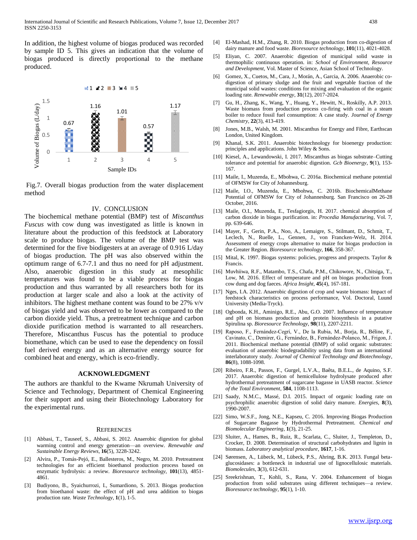In addition, the highest volume of biogas produced was recorded by sample ID 5. This gives an indication that the volume of biogas produced is directly proportional to the methane produced.



Fig.7. Overall biogas production from the water displacement method

#### IV. CONCLUSION

The biochemical methane potential (BMP) test of *Miscanthus Fuscus* with cow dung was investigated as little is known in literature about the production of this feedstock at Laboratory scale to produce biogas. The volume of the BMP test was determined for the five biodigesters at an average of 0.916 L/day of biogas production. The pH was also observed within the optimum range of 6.7-7.1 and thus no need for pH adjustment. Also, anaerobic digestion in this study at mesophilic temperatures was found to be a viable process for biogas production and thus warranted by all researchers both for its production at larger scale and also a look at the activity of inhibitors. The highest methane content was found to be 27% v/v of biogas yield and was observed to be lower as compared to the carbon dioxide yield. Thus, a pretreatment technique and carbon dioxide purification method is warranted to all researchers. Therefore, Miscanthus Fuscus has the potential to produce biomethane, which can be used to ease the dependency on fossil fuel derived energy and as an alternative energy source for combined heat and energy, which is eco-friendly.

## **ACKNOWLEDGMENT**

The authors are thankful to the Kwame Nkrumah University of Science and Technology, Department of Chemical Engineering for their support and using their Biotechnology Laboratory for the experimental runs.

#### **REFERENCES**

- [1] Abbasi, T., Tauseef, S., Abbasi, S. 2012. Anaerobic digestion for global warming control and energy generation—an overview. *Renewable and Sustainable Energy Reviews*, **16**(5), 3228-3242.
- [2] Alvira, P., Tomás-Pejó, E., Ballesteros, M., Negro, M. 2010. Pretreatment technologies for an efficient bioethanol production process based on enzymatic hydrolysis: a review. *Bioresource technology*, **101**(13), 4851- 4861.
- [3] Budiyono, B., Syaichurrozi, I., Sumardiono, S. 2013. Biogas production from bioethanol waste: the effect of pH and urea addition to biogas production rate. *Waste Technology*, **1**(1), 1-5.
- [4] El-Mashad, H.M., Zhang, R. 2010. Biogas production from co-digestion of dairy manure and food waste. *Bioresource technology*, **101**(11), 4021-4028.
- [5] Eliyan, C. 2007. Anaerobic digestion of municipal solid waste in thermophilic continuous operation. in: *School of Environment, Resource and Development*, Vol. Master of Science, Asian School of Technology.
- [6] Gomez, X., Cuetos, M., Cara, J., Morán, A., Garcia, A. 2006. Anaerobic codigestion of primary sludge and the fruit and vegetable fraction of the municipal solid wastes: conditions for mixing and evaluation of the organic loading rate. *Renewable energy*, **31**(12), 2017-2024.
- [7] Gu, H., Zhang, K., Wang, Y., Huang, Y., Hewitt, N., Roskilly, A.P. 2013. Waste biomass from production process co-firing with coal in a steam boiler to reduce fossil fuel consumption: A case study. *Journal of Energy Chemistry*, **22**(3), 413-419.
- [8] Jones, M.B., Walsh, M. 2001. Miscanthus for Energy and Fibre, Earthscan London, United Kingdom.
- [9] Khanal, S.K. 2011. Anaerobic biotechnology for bioenergy production: principles and applications. John Wiley & Sons.
- [10] Kiesel, A., Lewandowski, I. 2017. Miscanthus as biogas substrate–Cutting tolerance and potential for anaerobic digestion. *Gcb Bioenergy*, **9**(1), 153- 167.
- [11] Maile, I., Muzenda, E., Mbohwa, C. 2016a. Biochemical methane potential of OFMSW for City of Johannesburg.
- [12] Maile, I.O., Muzenda, E., Mbohwa, C. 2016b. BiochemicalMethane Potential of OFMSW for City of Johannesburg. San Francisco on 26-28 October, 2016.
- [13] Maile, O.I., Muzenda, E., Tesfagiorgis, H. 2017. chemical absorption of carbon dioxide in biogas purification. in: *Procedia Manufacturing*, Vol. 7, pp. 639-646.
- [14] Mayer, F., Gerin, P.A., Noo, A., Lemaigre, S., Stilmant, D., Schmit, T., Leclech, N., Ruelle, L., Gennen, J., von Francken-Welz, H. 2014. Assessment of energy crops alternative to maize for biogas production in the Greater Region. *Bioresource technology*, **166**, 358-367.
- [15] Mital, K. 1997. Biogas systems: policies, progress and prospects. Taylor & Francis.
- [16] Muvhiiwa, R.F., Matambo, T.S., Chafa, P.M., Chikowore, N., Chitsiga, T., Low, M. 2016. Effect of temperature and pH on biogas production from cow dung and dog faeces. *Africa Insight*, **45**(4), 167-181.
- [17] Nges, I.A. 2012. Anaerobic digestion of crop and waste biomass: Impact of feedstock characteristics on process performance, Vol. Doctoral, Luund University (Media-Tryck).
- [18] Ogbonda, K.H., Aminigo, R.E., Abu, G.O. 2007. Influence of temperature and pH on biomass production and protein biosynthesis in a putative Spirulina sp. *Bioresource Technology*, **98**(11), 2207-2211.
- [19] Raposo, F., Fernández‐Cegrí, V., De la Rubia, M., Borja, R., Béline, F., Cavinato, C., Demirer, G., Fernández, B., Fernández‐Polanco, M., Frigon, J. 2011. Biochemical methane potential (BMP) of solid organic substrates: evaluation of anaerobic biodegradability using data from an international interlaboratory study. *Journal of Chemical Technology and Biotechnology*, **86**(8), 1088-1098.
- [20] Ribeiro, F.R., Passos, F., Gurgel, L.V.A., Baêta, B.E.L., de Aquino, S.F. 2017. Anaerobic digestion of hemicellulose hydrolysate produced after hydrothermal pretreatment of sugarcane bagasse in UASB reactor. *Science of the Total Environment*, **584**, 1108-1113.
- [21] Saady, N.M.C., Massé, D.I. 2015. Impact of organic loading rate on psychrophilic anaerobic digestion of solid dairy manure. *Energies*, **8**(3), 1990-2007.
- [22] Simo, W.S.F., Jong, N.E., Kapseu, C. 2016. Improving Biogas Production of Sugarcane Bagasse by Hydrothermal Pretreatment. *Chemical and Biomolecular Engineering*, **1**(3), 21-25.
- [23] Sluiter, A., Hames, B., Ruiz, R., Scarlata, C., Sluiter, J., Templeton, D., Crocker, D. 2008. Determination of structural carbohydrates and lignin in biomass. *Laboratory analytical procedure*, **1617**, 1-16.
- [24] Sørensen, A., Lübeck, M., Lübeck, P.S., Ahring, B.K. 2013. Fungal betaglucosidases: a bottleneck in industrial use of lignocellulosic materials. *Biomolecules*, **3**(3), 612-631.
- [25] Sreekrishnan, T., Kohli, S., Rana, V. 2004. Enhancement of biogas production from solid substrates using different techniques––a review. *Bioresource technology*, **95**(1), 1-10.